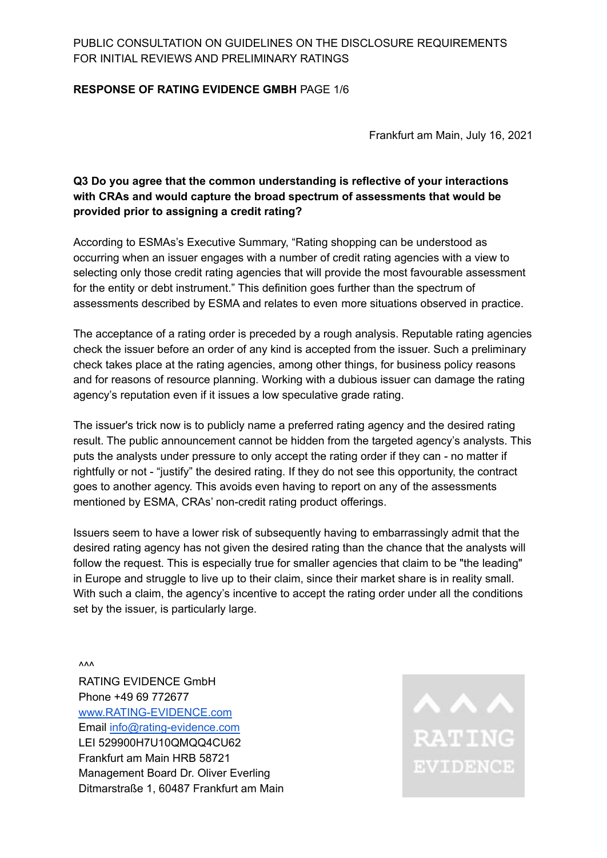#### **RESPONSE OF RATING EVIDENCE GMBH** PAGE 1/6

Frankfurt am Main, July 16, 2021

# **Q3 Do you agree that the common understanding is reflective of your interactions with CRAs and would capture the broad spectrum of assessments that would be provided prior to assigning a credit rating?**

According to ESMAs's Executive Summary, "Rating shopping can be understood as occurring when an issuer engages with a number of credit rating agencies with a view to selecting only those credit rating agencies that will provide the most favourable assessment for the entity or debt instrument." This definition goes further than the spectrum of assessments described by ESMA and relates to even more situations observed in practice.

The acceptance of a rating order is preceded by a rough analysis. Reputable rating agencies check the issuer before an order of any kind is accepted from the issuer. Such a preliminary check takes place at the rating agencies, among other things, for business policy reasons and for reasons of resource planning. Working with a dubious issuer can damage the rating agency's reputation even if it issues a low speculative grade rating.

The issuer's trick now is to publicly name a preferred rating agency and the desired rating result. The public announcement cannot be hidden from the targeted agency's analysts. This puts the analysts under pressure to only accept the rating order if they can - no matter if rightfully or not - "justify" the desired rating. If they do not see this opportunity, the contract goes to another agency. This avoids even having to report on any of the assessments mentioned by ESMA, CRAs' non-credit rating product offerings.

Issuers seem to have a lower risk of subsequently having to embarrassingly admit that the desired rating agency has not given the desired rating than the chance that the analysts will follow the request. This is especially true for smaller agencies that claim to be "the leading" in Europe and struggle to live up to their claim, since their market share is in reality small. With such a claim, the agency's incentive to accept the rating order under all the conditions set by the issuer, is particularly large.

 $\mathsf{v}\mathsf{v}\mathsf{v}$ 

RATING EVIDENCE GmbH Phone +49 69 772677 [www.RATING-EVIDENCE.com](http://www.rating-evidence.com) Email [info@rating-evidence.com](mailto:info@rating-evidence.com) LEI 529900H7U10QMQQ4CU62 Frankfurt am Main HRB 58721 Management Board Dr. Oliver Everling Ditmarstraße 1, 60487 Frankfurt am Main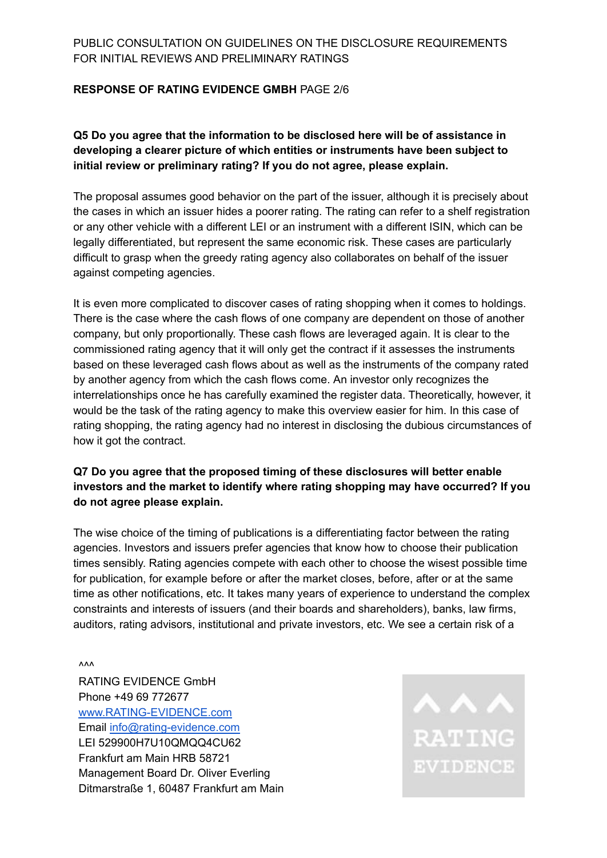#### **RESPONSE OF RATING EVIDENCE GMBH** PAGE 2/6

**Q5 Do you agree that the information to be disclosed here will be of assistance in developing a clearer picture of which entities or instruments have been subject to initial review or preliminary rating? If you do not agree, please explain.**

The proposal assumes good behavior on the part of the issuer, although it is precisely about the cases in which an issuer hides a poorer rating. The rating can refer to a shelf registration or any other vehicle with a different LEI or an instrument with a different ISIN, which can be legally differentiated, but represent the same economic risk. These cases are particularly difficult to grasp when the greedy rating agency also collaborates on behalf of the issuer against competing agencies.

It is even more complicated to discover cases of rating shopping when it comes to holdings. There is the case where the cash flows of one company are dependent on those of another company, but only proportionally. These cash flows are leveraged again. It is clear to the commissioned rating agency that it will only get the contract if it assesses the instruments based on these leveraged cash flows about as well as the instruments of the company rated by another agency from which the cash flows come. An investor only recognizes the interrelationships once he has carefully examined the register data. Theoretically, however, it would be the task of the rating agency to make this overview easier for him. In this case of rating shopping, the rating agency had no interest in disclosing the dubious circumstances of how it got the contract.

# **Q7 Do you agree that the proposed timing of these disclosures will better enable investors and the market to identify where rating shopping may have occurred? If you do not agree please explain.**

The wise choice of the timing of publications is a differentiating factor between the rating agencies. Investors and issuers prefer agencies that know how to choose their publication times sensibly. Rating agencies compete with each other to choose the wisest possible time for publication, for example before or after the market closes, before, after or at the same time as other notifications, etc. It takes many years of experience to understand the complex constraints and interests of issuers (and their boards and shareholders), banks, law firms, auditors, rating advisors, institutional and private investors, etc. We see a certain risk of a

 $\mathsf{v}\mathsf{v}\mathsf{v}$ 

RATING EVIDENCE GmbH Phone +49 69 772677 [www.RATING-EVIDENCE.com](http://www.rating-evidence.com) Email [info@rating-evidence.com](mailto:info@rating-evidence.com) LEI 529900H7U10QMQQ4CU62 Frankfurt am Main HRB 58721 Management Board Dr. Oliver Everling Ditmarstraße 1, 60487 Frankfurt am Main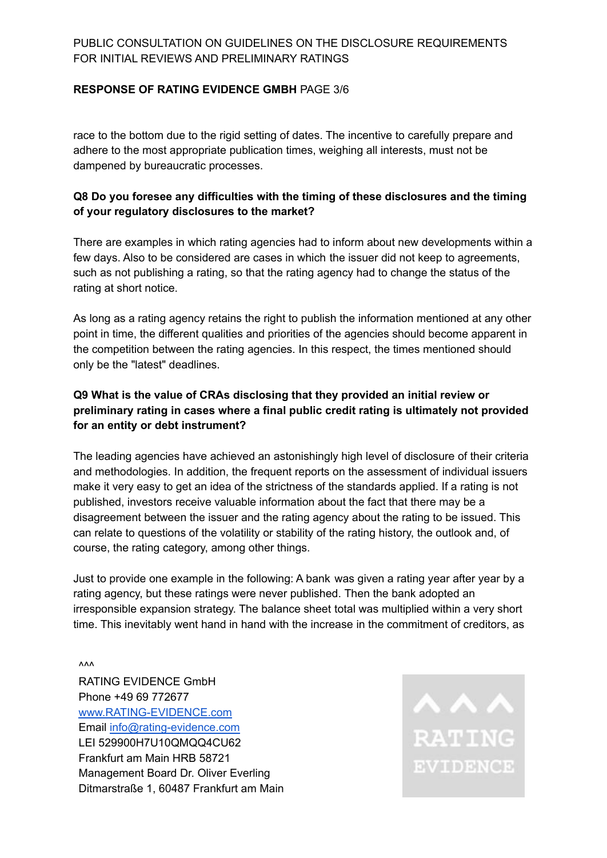#### **RESPONSE OF RATING EVIDENCE GMBH** PAGE 3/6

race to the bottom due to the rigid setting of dates. The incentive to carefully prepare and adhere to the most appropriate publication times, weighing all interests, must not be dampened by bureaucratic processes.

### **Q8 Do you foresee any difficulties with the timing of these disclosures and the timing of your regulatory disclosures to the market?**

There are examples in which rating agencies had to inform about new developments within a few days. Also to be considered are cases in which the issuer did not keep to agreements, such as not publishing a rating, so that the rating agency had to change the status of the rating at short notice.

As long as a rating agency retains the right to publish the information mentioned at any other point in time, the different qualities and priorities of the agencies should become apparent in the competition between the rating agencies. In this respect, the times mentioned should only be the "latest" deadlines.

# **Q9 What is the value of CRAs disclosing that they provided an initial review or preliminary rating in cases where a final public credit rating is ultimately not provided for an entity or debt instrument?**

The leading agencies have achieved an astonishingly high level of disclosure of their criteria and methodologies. In addition, the frequent reports on the assessment of individual issuers make it very easy to get an idea of the strictness of the standards applied. If a rating is not published, investors receive valuable information about the fact that there may be a disagreement between the issuer and the rating agency about the rating to be issued. This can relate to questions of the volatility or stability of the rating history, the outlook and, of course, the rating category, among other things.

Just to provide one example in the following: A bank was given a rating year after year by a rating agency, but these ratings were never published. Then the bank adopted an irresponsible expansion strategy. The balance sheet total was multiplied within a very short time. This inevitably went hand in hand with the increase in the commitment of creditors, as

 $\mathsf{v}\mathsf{v}\mathsf{v}$ 

RATING EVIDENCE GmbH Phone +49 69 772677 [www.RATING-EVIDENCE.com](http://www.rating-evidence.com) Email [info@rating-evidence.com](mailto:info@rating-evidence.com) LEI 529900H7U10QMQQ4CU62 Frankfurt am Main HRB 58721 Management Board Dr. Oliver Everling Ditmarstraße 1, 60487 Frankfurt am Main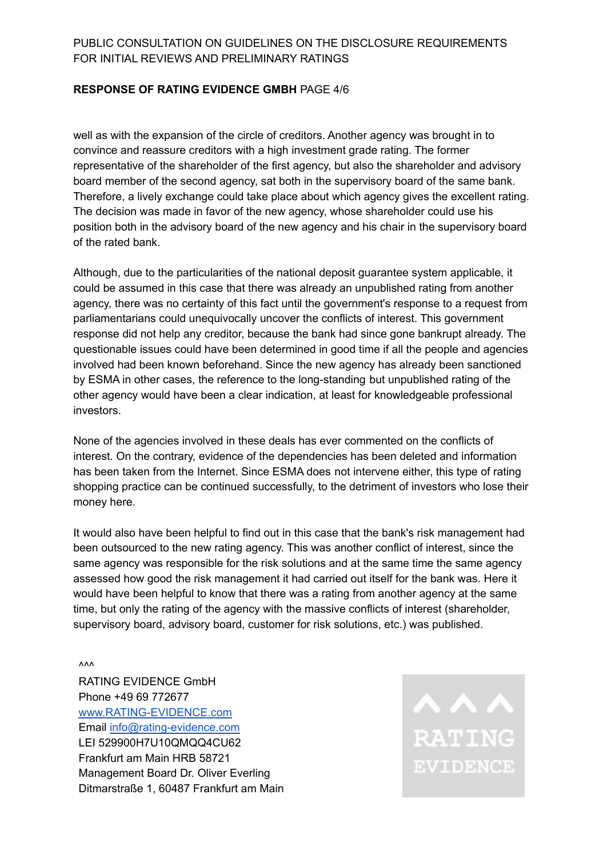#### **RESPONSE OF RATING EVIDENCE GMBH** PAGE 4/6

well as with the expansion of the circle of creditors. Another agency was brought in to convince and reassure creditors with a high investment grade rating. The former representative of the shareholder of the first agency, but also the shareholder and advisory board member of the second agency, sat both in the supervisory board of the same bank. Therefore, a lively exchange could take place about which agency gives the excellent rating. The decision was made in favor of the new agency, whose shareholder could use his position both in the advisory board of the new agency and his chair in the supervisory board of the rated bank.

Although, due to the particularities of the national deposit guarantee system applicable, it could be assumed in this case that there was already an unpublished rating from another agency, there was no certainty of this fact until the government's response to a request from parliamentarians could unequivocally uncover the conflicts of interest. This government response did not help any creditor, because the bank had since gone bankrupt already. The questionable issues could have been determined in good time if all the people and agencies involved had been known beforehand. Since the new agency has already been sanctioned by ESMA in other cases, the reference to the long-standing but unpublished rating of the other agency would have been a clear indication, at least for knowledgeable professional investors.

None of the agencies involved in these deals has ever commented on the conflicts of interest. On the contrary, evidence of the dependencies has been deleted and information has been taken from the Internet. Since ESMA does not intervene either, this type of rating shopping practice can be continued successfully, to the detriment of investors who lose their money here.

It would also have been helpful to find out in this case that the bank's risk management had been outsourced to the new rating agency. This was another conflict of interest, since the same agency was responsible for the risk solutions and at the same time the same agency assessed how good the risk management it had carried out itself for the bank was. Here it would have been helpful to know that there was a rating from another agency at the same time, but only the rating of the agency with the massive conflicts of interest (shareholder, supervisory board, advisory board, customer for risk solutions, etc.) was published.

 $\mathsf{V}\mathsf{V}\mathsf{V}$ 

RATING EVIDENCE GmbH Phone +49 69 772677 [www.RATING-EVIDENCE.com](http://www.rating-evidence.com) Email [info@rating-evidence.com](mailto:info@rating-evidence.com) LEI 529900H7U10QMQQ4CU62 Frankfurt am Main HRB 58721 Management Board Dr. Oliver Everling Ditmarstraße 1, 60487 Frankfurt am Main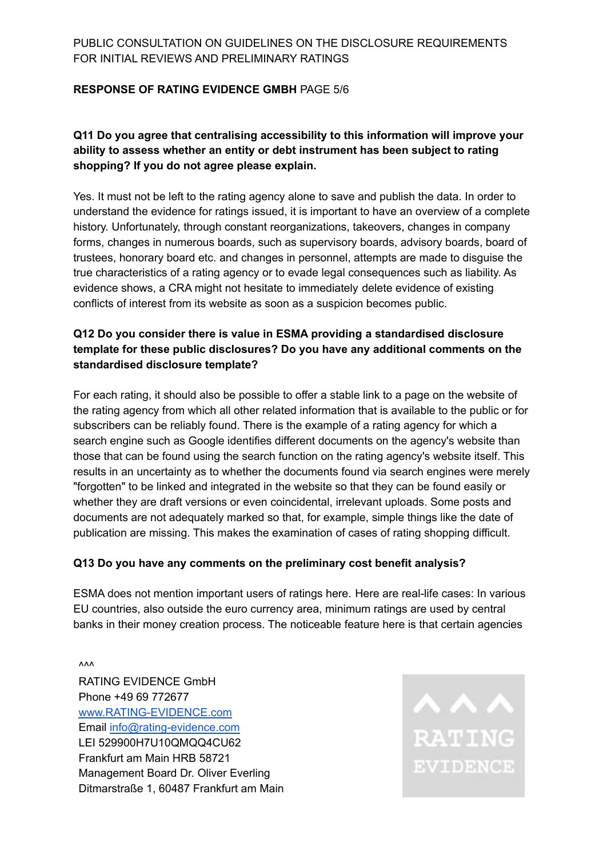#### **RESPONSE OF RATING EVIDENCE GMBH** PAGE 5/6

# **Q11 Do you agree that centralising accessibility to this information will improve your ability to assess whether an entity or debt instrument has been subject to rating shopping? If you do not agree please explain.**

Yes. It must not be left to the rating agency alone to save and publish the data. In order to understand the evidence for ratings issued, it is important to have an overview of a complete history. Unfortunately, through constant reorganizations, takeovers, changes in company forms, changes in numerous boards, such as supervisory boards, advisory boards, board of trustees, honorary board etc. and changes in personnel, attempts are made to disguise the true characteristics of a rating agency or to evade legal consequences such as liability. As evidence shows, a CRA might not hesitate to immediately delete evidence of existing conflicts of interest from its website as soon as a suspicion becomes public.

# **Q12 Do you consider there is value in ESMA providing a standardised disclosure template for these public disclosures? Do you have any additional comments on the standardised disclosure template?**

For each rating, it should also be possible to offer a stable link to a page on the website of the rating agency from which all other related information that is available to the public or for subscribers can be reliably found. There is the example of a rating agency for which a search engine such as Google identifies different documents on the agency's website than those that can be found using the search function on the rating agency's website itself. This results in an uncertainty as to whether the documents found via search engines were merely "forgotten" to be linked and integrated in the website so that they can be found easily or whether they are draft versions or even coincidental, irrelevant uploads. Some posts and documents are not adequately marked so that, for example, simple things like the date of publication are missing. This makes the examination of cases of rating shopping difficult.

#### **Q13 Do you have any comments on the preliminary cost benefit analysis?**

ESMA does not mention important users of ratings here. Here are real-life cases: In various EU countries, also outside the euro currency area, minimum ratings are used by central banks in their money creation process. The noticeable feature here is that certain agencies

 $\mathsf{v}\mathsf{v}\mathsf{v}$ RATING EVIDENCE GmbH Phone +49 69 772677 [www.RATING-EVIDENCE.com](http://www.rating-evidence.com) Email [info@rating-evidence.com](mailto:info@rating-evidence.com) LEI 529900H7U10QMQQ4CU62 Frankfurt am Main HRB 58721 Management Board Dr. Oliver Everling Ditmarstraße 1, 60487 Frankfurt am Main